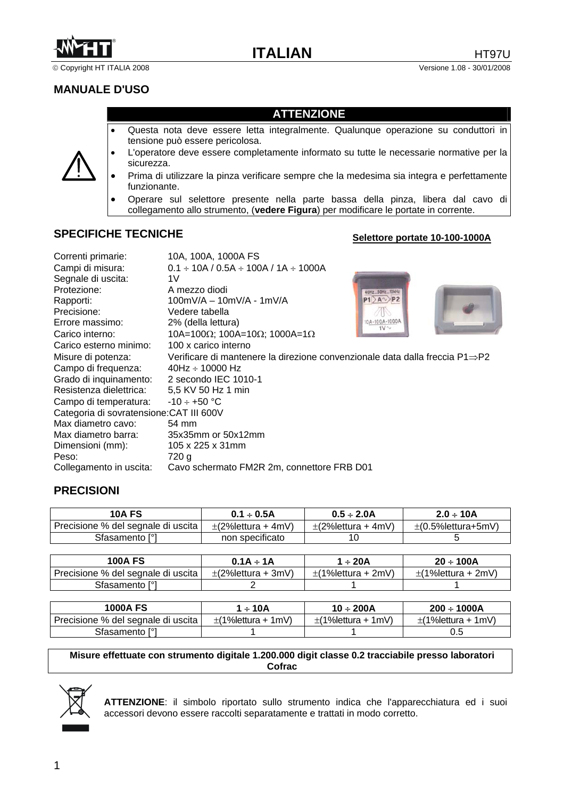

© Copyright HT ITALIA 2008 Versione 1.08 - 30/01/2008

# **MANUALE D'USO**

#### **ATTENZIONE**

- Questa nota deve essere letta integralmente. Qualunque operazione su conduttori in tensione può essere pericolosa.
- L'operatore deve essere completamente informato su tutte le necessarie normative per la sicurezza.
- Prima di utilizzare la pinza verificare sempre che la medesima sia integra e perfettamente funzionante.
- Operare sul selettore presente nella parte bassa della pinza, libera dal cavo di collegamento allo strumento, (**vedere Figura**) per modificare le portate in corrente.

### **SPECIFICHE TECNICHE**

#### **Selettore portate 10-100-1000A**

| Correnti primarie:                       | 10A, 100A, 1000A FS                                                                       |
|------------------------------------------|-------------------------------------------------------------------------------------------|
| Campi di misura:                         | $0.1 \div 10A / 0.5A \div 100A / 1A \div 1000A$                                           |
| Segnale di uscita:                       | 1V                                                                                        |
| Protezione:                              | A mezzo diodi<br>40Hz 50Hz 10kHz                                                          |
| Rapporti:                                | $P1$ A $\rightarrow$ P2<br>100mV/A - 10mV/A - 1mV/A                                       |
| Precisione:                              | Vedere tabella                                                                            |
| Errore massimo:                          | 10A-100A-1000A<br>2% (della lettura)<br>1V <sub>o</sub>                                   |
| Carico interno:                          | 10A=100Ω; 100A=10Ω; 1000A=1Ω                                                              |
| Carico esterno minimo:                   | 100 x carico interno                                                                      |
| Misure di potenza:                       | Verificare di mantenere la direzione convenzionale data dalla freccia $P1 \Rightarrow P2$ |
| Campo di frequenza:                      | $40Hz \div 10000 Hz$                                                                      |
| Grado di inquinamento:                   | 2 secondo IEC 1010-1                                                                      |
| Resistenza dielettrica:                  | 5,5 KV 50 Hz 1 min                                                                        |
| Campo di temperatura:                    | $-10 \div +50$ °C                                                                         |
| Categoria di sovratensione: CAT III 600V |                                                                                           |
| Max diametro cavo:                       | 54 mm                                                                                     |
| Max diametro barra:                      | 35x35mm or 50x12mm                                                                        |
| Dimensioni (mm):                         | 105 x 225 x 31mm                                                                          |
| Peso:                                    | 720 a                                                                                     |
| Collegamento in uscita:                  | Cavo schermato FM2R 2m, connettore FRB D01                                                |

#### **PRECISIONI**

| <b>10A FS</b>                                   | $0.1 \div 0.5A$          | $0.5 \div 2.0$ A         | $2.0 \div 10A$           |
|-------------------------------------------------|--------------------------|--------------------------|--------------------------|
| Precisione % del segnale di uscita <sub> </sub> | $\pm$ (2% lettura + 4mV) | $\pm$ (2% lettura + 4mV) | $\pm$ (0.5% lettura+5mV) |
| Sfasamento [°]                                  | non specificato          |                          |                          |

| <b>100A FS</b>                     | $0.1A \div 1A$           | l ÷ 20A                  | $20 \div 100A$           |
|------------------------------------|--------------------------|--------------------------|--------------------------|
| Precisione % del segnale di uscita | $\pm$ (2% lettura + 3mV) | $\pm$ (1% lettura + 2mV) | $\pm$ (1% lettura + 2mV) |
| Sfasamento [°]                     |                          |                          |                          |

| <b>1000A FS</b>                    | 1 ÷ 10A                  | $10 \div 200$ A           | $200 \div 1000A$          |
|------------------------------------|--------------------------|---------------------------|---------------------------|
| Precisione % del segnale di uscita | $\pm$ (1% lettura + 1mV) | $\pm$ (1% lettura + 1 mV) | $\pm$ (1% lettura + 1 mV) |
| Sfasamento [°]                     |                          |                           | U.5                       |

**Misure effettuate con strumento digitale 1.200.000 digit classe 0.2 tracciabile presso laboratori Cofrac** 



**ATTENZIONE**: il simbolo riportato sullo strumento indica che l'apparecchiatura ed i suoi accessori devono essere raccolti separatamente e trattati in modo corretto.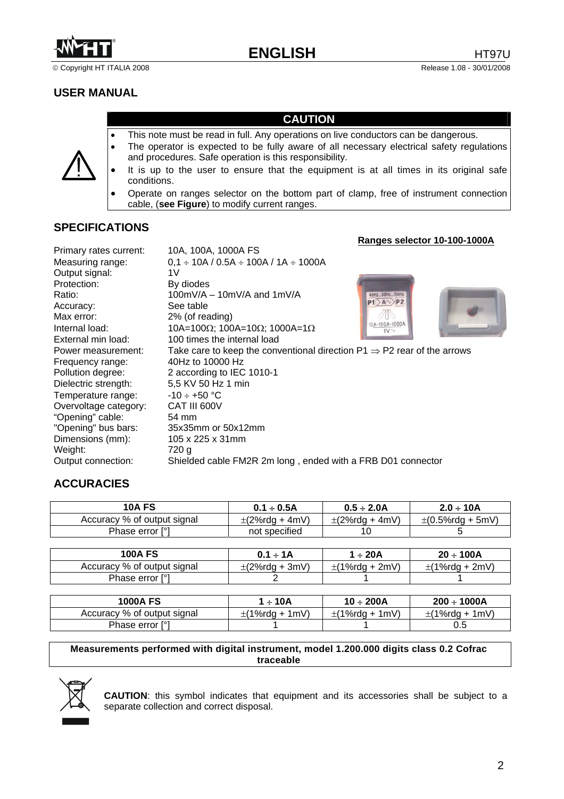

© Copyright HT ITALIA 2008 Release 1.08 - 30/01/2008

### **USER MANUAL**

#### **CAUTION**

- This note must be read in full. Any operations on live conductors can be dangerous.
- The operator is expected to be fully aware of all necessary electrical safety regulations and procedures. Safe operation is this responsibility.
- It is up to the user to ensure that the equipment is at all times in its original safe conditions.
- Operate on ranges selector on the bottom part of clamp, free of instrument connection cable, (**see Figure**) to modify current ranges.

#### **SPECIFICATIONS**

|                        |                                                                                     | Ranges selector 10-100-1000A |
|------------------------|-------------------------------------------------------------------------------------|------------------------------|
| Primary rates current: | 10A, 100A, 1000A FS                                                                 |                              |
| Measuring range:       | $0,1 \div 10A / 0.5A \div 100A / 1A \div 1000A$                                     |                              |
| Output signal:         | 1V                                                                                  |                              |
| Protection:            | By diodes                                                                           |                              |
| Ratio:                 | $100mV/A - 10mV/A$ and $1mV/A$                                                      | 50Hz 10kHz                   |
| Accuracy:              | See table                                                                           | $P1$ A $\rightarrow$ P2      |
| Max error:             | 2% (of reading)                                                                     |                              |
| Internal load:         | 10A=100Ω; 100A=10Ω; 1000A=1Ω                                                        | 10A-100A-1000A<br>$1V \sim$  |
| External min load:     | 100 times the internal load                                                         |                              |
| Power measurement:     | Take care to keep the conventional direction P1 $\Rightarrow$ P2 rear of the arrows |                              |
| Frequency range:       | 40Hz to 10000 Hz                                                                    |                              |
| Pollution degree:      | 2 according to IEC 1010-1                                                           |                              |
| Dielectric strength:   | 5,5 KV 50 Hz 1 min                                                                  |                              |
| Temperature range:     | $-10 \div +50$ °C                                                                   |                              |
| Overvoltage category:  | CAT III 600V                                                                        |                              |
| "Opening" cable:       | 54 mm                                                                               |                              |
| "Opening" bus bars:    | 35x35mm or 50x12mm                                                                  |                              |
| Dimensions (mm):       | 105 x 225 x 31mm                                                                    |                              |
| Weight:                | 720 g                                                                               |                              |
| Output connection:     | Shielded cable FM2R 2m long, ended with a FRB D01 connector                         |                              |

# **ACCURACIES**

| <b>10A FS</b>               | $0.1 \div 0.5$ A    | $0.5 \div 2.0$ A    | $2.0 \div 10A$          |
|-----------------------------|---------------------|---------------------|-------------------------|
| Accuracy % of output signal | $\pm$ (2%rdg + 4mV) | $\pm$ (2%rdg + 4mV) | $\pm (0.5\%$ rdg + 5mV) |
| Phase error [°]             | not specified       |                     |                         |

| <b>100A FS</b>              | $0.1 \div 1$ A      | 1 ÷ 20A             | 20 ÷ 100A           |
|-----------------------------|---------------------|---------------------|---------------------|
| Accuracy % of output signal | $\pm$ (2%rdg + 3mV) | $\pm$ (1%rdg + 2mV) | $\pm$ (1%rdg + 2mV) |
| Phase error [°]             |                     |                     |                     |

| 1000A FS                    | ∣ ÷ 10A             | $10 \div 200$ A     | $200 \div 1000A$    |
|-----------------------------|---------------------|---------------------|---------------------|
| Accuracy % of output signal | $\pm$ (1%rdg + 1mV) | $\pm$ (1%rdg + 1mV) | $\pm$ (1%rdg + 1mV) |
| Phase error [°]             |                     |                     |                     |

#### **Measurements performed with digital instrument, model 1.200.000 digits class 0.2 Cofrac traceable**



**CAUTION**: this symbol indicates that equipment and its accessories shall be subject to a separate collection and correct disposal.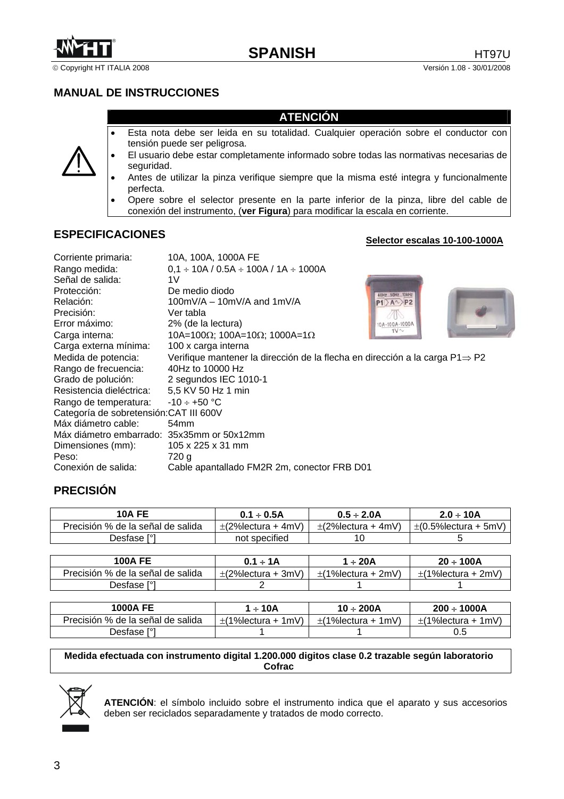

© Copyright HT ITALIA 2008 Versión 1.08 - 30/01/2008

### **MANUAL DE INSTRUCCIONES**

#### **ATENCIÓN**

- Esta nota debe ser leida en su totalidad. Cualquier operación sobre el conductor con tensión puede ser peligrosa.
- El usuario debe estar completamente informado sobre todas las normativas necesarias de seguridad.
- Antes de utilizar la pinza verifique siempre que la misma esté integra y funcionalmente perfecta.
- Opere sobre el selector presente en la parte inferior de la pinza, libre del cable de conexión del instrumento, (**ver Figura**) para modificar la escala en corriente.

# **ESPECIFICACIONES**

#### **Selector escalas 10-100-1000A**

| Corriente primaria:<br>Rango medida:<br>Señal de salida:<br>Protección:<br>Relación:<br>Precisión:<br>Error máximo:<br>Carga interna:<br>Carga externa mínima:<br>Medida de potencia:<br>Rango de frecuencia:<br>Grado de polución:<br>Resistencia dieléctrica:<br>Rango de temperatura:<br>Categoría de sobretensión: CAT III 600V<br>Máx diámetro cable:<br>Máx diámetro embarrado: 35x35mm or 50x12mm | 10A, 100A, 1000A FE<br>$0.1 \div 10A / 0.5A \div 100A / 1A \div 1000A$<br>1V<br>De medio diodo<br>40Hz 50Hz 10kHz<br>100mV/A $-$ 10mV/A and 1mV/A<br>$P1$ A $\Diamond$ P2<br>Ver tabla<br>2% (de la lectura)<br>10A-100A-1000A<br>$1V \sim$<br>10A=100Ω; 100A=10Ω; 1000A=1Ω<br>100 x carga interna<br>Verifique mantener la dirección de la flecha en dirección a la carga $P1 \Rightarrow P2$<br>40Hz to 10000 Hz<br>2 segundos IEC 1010-1<br>5,5 KV 50 Hz 1 min<br>$-10 \div +50$ °C<br>54 <sub>mm</sub> |
|----------------------------------------------------------------------------------------------------------------------------------------------------------------------------------------------------------------------------------------------------------------------------------------------------------------------------------------------------------------------------------------------------------|------------------------------------------------------------------------------------------------------------------------------------------------------------------------------------------------------------------------------------------------------------------------------------------------------------------------------------------------------------------------------------------------------------------------------------------------------------------------------------------------------------|
|                                                                                                                                                                                                                                                                                                                                                                                                          |                                                                                                                                                                                                                                                                                                                                                                                                                                                                                                            |
| Dimensiones (mm):                                                                                                                                                                                                                                                                                                                                                                                        | $105 \times 225 \times 31$ mm                                                                                                                                                                                                                                                                                                                                                                                                                                                                              |
| Peso:                                                                                                                                                                                                                                                                                                                                                                                                    | 720 g                                                                                                                                                                                                                                                                                                                                                                                                                                                                                                      |
| Conexión de salida:                                                                                                                                                                                                                                                                                                                                                                                      | Cable apantallado FM2R 2m, conector FRB D01                                                                                                                                                                                                                                                                                                                                                                                                                                                                |

# **PRECISIÓN**

| 10A FE                            | $0.1 \div 0.5$ A         | $0.5 \div 2.0$ A         | $2.0 \div 10A$             |
|-----------------------------------|--------------------------|--------------------------|----------------------------|
| Precisión % de la señal de salida | $\pm$ (2% lectura + 4mV) | $\pm$ (2% lectura + 4mV) | $\pm$ (0.5% lectura + 5mV) |
| Desfase [°1                       | not specified            |                          |                            |

| <b>100A FE</b>                    | $0.1 \div 1$ $A$         | ÷ 20A                    | $20 \div 100A$          |
|-----------------------------------|--------------------------|--------------------------|-------------------------|
| Precisión % de la señal de salida | $\pm$ (2% lectura + 3mV) | $\pm$ (1% lectura + 2mV) | $\pm$ (1%lectura + 2mV) |
| Desfase [°1                       |                          |                          |                         |

| <b>1000A FE</b>                   | 1 ÷ 10A                  | $10 \div 200$ A          | $200 \div 1000A$        |
|-----------------------------------|--------------------------|--------------------------|-------------------------|
| Precisión % de la señal de salida | $\pm$ (1% lectura + 1mV) | $\pm$ (1% lectura + 1mV) | $\pm$ (1%lectura + 1mV) |
| Desfase [° <sup>1</sup>           |                          |                          |                         |

**Medida efectuada con instrumento digital 1.200.000 digitos clase 0.2 trazable según laboratorio Cofrac** 



**ATENCIÓN**: el símbolo incluido sobre el instrumento indica que el aparato y sus accesorios deben ser reciclados separadamente y tratados de modo correcto.